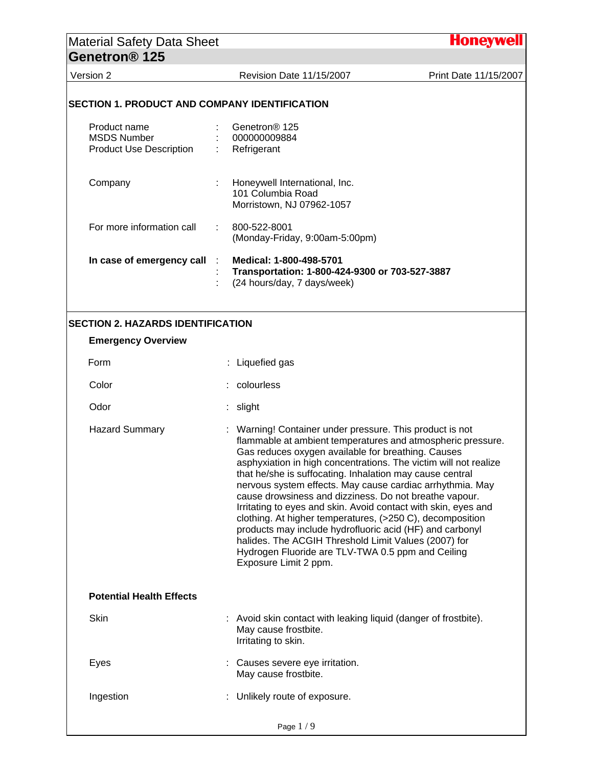## Material Safety Data Sheet Honeyw **Genetron® 125**  Version 2 Revision Date 11/15/2007 Print Date 11/15/2007 **SECTION 1. PRODUCT AND COMPANY IDENTIFICATION**  Product name : Genetron® 125 MSDS Number : 000000009884 Product Use Description : Refrigerant Company : Honeywell International, Inc. 101 Columbia Road Morristown, NJ 07962-1057 For more information call : 800-522-8001 (Monday-Friday, 9:00am-5:00pm) **In case of emergency call** : **Medical: 1-800-498-5701**  : **Transportation: 1-800-424-9300 or 703-527-3887**  : (24 hours/day, 7 days/week) **SECTION 2. HAZARDS IDENTIFICATION Emergency Overview**  Form : Liquefied gas Color : colourless Odor : slight Hazard Summary **: Warning! Container under pressure. This product is not** flammable at ambient temperatures and atmospheric pressure. Gas reduces oxygen available for breathing. Causes asphyxiation in high concentrations. The victim will not realize that he/she is suffocating. Inhalation may cause central nervous system effects. May cause cardiac arrhythmia. May cause drowsiness and dizziness. Do not breathe vapour. Irritating to eyes and skin. Avoid contact with skin, eyes and clothing. At higher temperatures, (>250 C), decomposition products may include hydrofluoric acid (HF) and carbonyl halides. The ACGIH Threshold Limit Values (2007) for Hydrogen Fluoride are TLV-TWA 0.5 ppm and Ceiling Exposure Limit 2 ppm. **Potential Health Effects**  Skin : Avoid skin contact with leaking liquid (danger of frostbite). May cause frostbite. Irritating to skin. Eyes : Causes severe eye irritation. May cause frostbite. Ingestion : Unlikely route of exposure. Page 1 / 9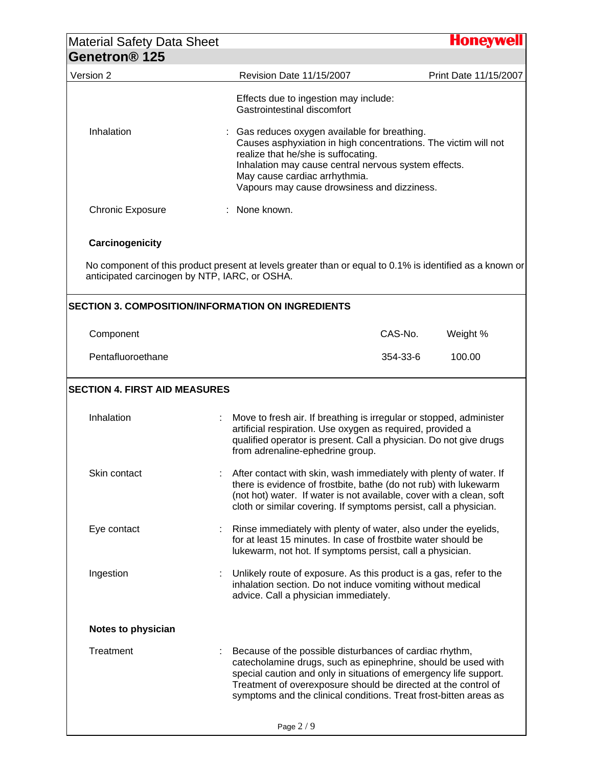| <b>Material Safety Data Sheet</b><br>Genetron <sup>®</sup> 125 |                                                                                                                                                                      |                                                                                                                                                                                                                                                                                                                                      | <b>Honeywell</b>      |
|----------------------------------------------------------------|----------------------------------------------------------------------------------------------------------------------------------------------------------------------|--------------------------------------------------------------------------------------------------------------------------------------------------------------------------------------------------------------------------------------------------------------------------------------------------------------------------------------|-----------------------|
| Version 2                                                      | Revision Date 11/15/2007                                                                                                                                             |                                                                                                                                                                                                                                                                                                                                      | Print Date 11/15/2007 |
|                                                                | Gastrointestinal discomfort                                                                                                                                          | Effects due to ingestion may include:                                                                                                                                                                                                                                                                                                |                       |
| Inhalation                                                     | realize that he/she is suffocating.<br>May cause cardiac arrhythmia.                                                                                                 | : Gas reduces oxygen available for breathing.<br>Causes asphyxiation in high concentrations. The victim will not<br>Inhalation may cause central nervous system effects.<br>Vapours may cause drowsiness and dizziness.                                                                                                              |                       |
| <b>Chronic Exposure</b>                                        | : None known.                                                                                                                                                        |                                                                                                                                                                                                                                                                                                                                      |                       |
| Carcinogenicity                                                |                                                                                                                                                                      |                                                                                                                                                                                                                                                                                                                                      |                       |
| anticipated carcinogen by NTP, IARC, or OSHA.                  | No component of this product present at levels greater than or equal to 0.1% is identified as a known or<br><b>SECTION 3. COMPOSITION/INFORMATION ON INGREDIENTS</b> |                                                                                                                                                                                                                                                                                                                                      |                       |
| Component                                                      |                                                                                                                                                                      | CAS-No.                                                                                                                                                                                                                                                                                                                              | Weight %              |
| Pentafluoroethane                                              |                                                                                                                                                                      | 354-33-6                                                                                                                                                                                                                                                                                                                             | 100.00                |
| <b>SECTION 4. FIRST AID MEASURES</b><br>Inhalation             | from adrenaline-ephedrine group.                                                                                                                                     | Move to fresh air. If breathing is irregular or stopped, administer<br>artificial respiration. Use oxygen as required, provided a<br>qualified operator is present. Call a physician. Do not give drugs                                                                                                                              |                       |
| Skin contact                                                   |                                                                                                                                                                      | After contact with skin, wash immediately with plenty of water. If<br>there is evidence of frostbite, bathe (do not rub) with lukewarm<br>(not hot) water. If water is not available, cover with a clean, soft<br>cloth or similar covering. If symptoms persist, call a physician.                                                  |                       |
| Eye contact                                                    |                                                                                                                                                                      | Rinse immediately with plenty of water, also under the eyelids,<br>for at least 15 minutes. In case of frostbite water should be<br>lukewarm, not hot. If symptoms persist, call a physician.                                                                                                                                        |                       |
| Ingestion                                                      | advice. Call a physician immediately.                                                                                                                                | Unlikely route of exposure. As this product is a gas, refer to the<br>inhalation section. Do not induce vomiting without medical                                                                                                                                                                                                     |                       |
|                                                                |                                                                                                                                                                      |                                                                                                                                                                                                                                                                                                                                      |                       |
| <b>Notes to physician</b>                                      |                                                                                                                                                                      |                                                                                                                                                                                                                                                                                                                                      |                       |
| Treatment                                                      |                                                                                                                                                                      | Because of the possible disturbances of cardiac rhythm,<br>catecholamine drugs, such as epinephrine, should be used with<br>special caution and only in situations of emergency life support.<br>Treatment of overexposure should be directed at the control of<br>symptoms and the clinical conditions. Treat frost-bitten areas as |                       |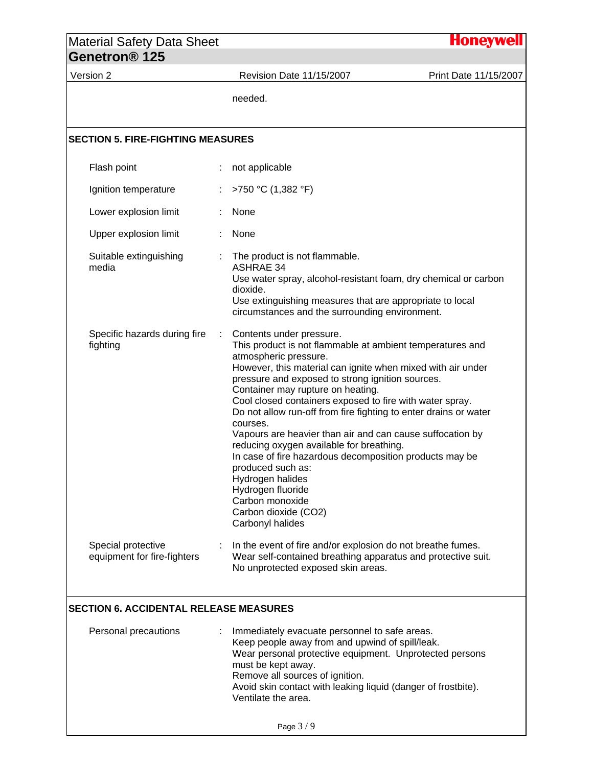| <b>Material Safety Data Sheet</b>                 |                                                                                                                                                                                                                                                                                                                                                                                                                                                                                                                                                                                                                                                                                                                     | <b>Honeywell</b>      |
|---------------------------------------------------|---------------------------------------------------------------------------------------------------------------------------------------------------------------------------------------------------------------------------------------------------------------------------------------------------------------------------------------------------------------------------------------------------------------------------------------------------------------------------------------------------------------------------------------------------------------------------------------------------------------------------------------------------------------------------------------------------------------------|-----------------------|
| Genetron <sup>®</sup> 125                         |                                                                                                                                                                                                                                                                                                                                                                                                                                                                                                                                                                                                                                                                                                                     |                       |
| Version 2                                         | Revision Date 11/15/2007                                                                                                                                                                                                                                                                                                                                                                                                                                                                                                                                                                                                                                                                                            | Print Date 11/15/2007 |
|                                                   | needed.                                                                                                                                                                                                                                                                                                                                                                                                                                                                                                                                                                                                                                                                                                             |                       |
| <b>SECTION 5. FIRE-FIGHTING MEASURES</b>          |                                                                                                                                                                                                                                                                                                                                                                                                                                                                                                                                                                                                                                                                                                                     |                       |
| Flash point                                       | not applicable                                                                                                                                                                                                                                                                                                                                                                                                                                                                                                                                                                                                                                                                                                      |                       |
| Ignition temperature                              | >750 °C (1,382 °F)                                                                                                                                                                                                                                                                                                                                                                                                                                                                                                                                                                                                                                                                                                  |                       |
| Lower explosion limit                             | None                                                                                                                                                                                                                                                                                                                                                                                                                                                                                                                                                                                                                                                                                                                |                       |
| Upper explosion limit                             | None                                                                                                                                                                                                                                                                                                                                                                                                                                                                                                                                                                                                                                                                                                                |                       |
| Suitable extinguishing<br>media                   | The product is not flammable.<br><b>ASHRAE 34</b><br>Use water spray, alcohol-resistant foam, dry chemical or carbon<br>dioxide.<br>Use extinguishing measures that are appropriate to local<br>circumstances and the surrounding environment.                                                                                                                                                                                                                                                                                                                                                                                                                                                                      |                       |
| Specific hazards during fire<br>fighting          | Contents under pressure.<br>This product is not flammable at ambient temperatures and<br>atmospheric pressure.<br>However, this material can ignite when mixed with air under<br>pressure and exposed to strong ignition sources.<br>Container may rupture on heating.<br>Cool closed containers exposed to fire with water spray.<br>Do not allow run-off from fire fighting to enter drains or water<br>courses.<br>Vapours are heavier than air and can cause suffocation by<br>reducing oxygen available for breathing.<br>In case of fire hazardous decomposition products may be<br>produced such as:<br>Hydrogen halides<br>Hydrogen fluoride<br>Carbon monoxide<br>Carbon dioxide (CO2)<br>Carbonyl halides |                       |
| Special protective<br>equipment for fire-fighters | In the event of fire and/or explosion do not breathe fumes.<br>Wear self-contained breathing apparatus and protective suit.<br>No unprotected exposed skin areas.                                                                                                                                                                                                                                                                                                                                                                                                                                                                                                                                                   |                       |

## **SECTION 6. ACCIDENTAL RELEASE MEASURES**

| Personal precautions | Immediately evacuate personnel to safe areas.<br>Keep people away from and upwind of spill/leak. |
|----------------------|--------------------------------------------------------------------------------------------------|
|                      | Wear personal protective equipment. Unprotected persons<br>must be kept away.                    |
|                      | Remove all sources of ignition.<br>Avoid skin contact with leaking liquid (danger of frostbite). |
|                      | Ventilate the area.                                                                              |
|                      |                                                                                                  |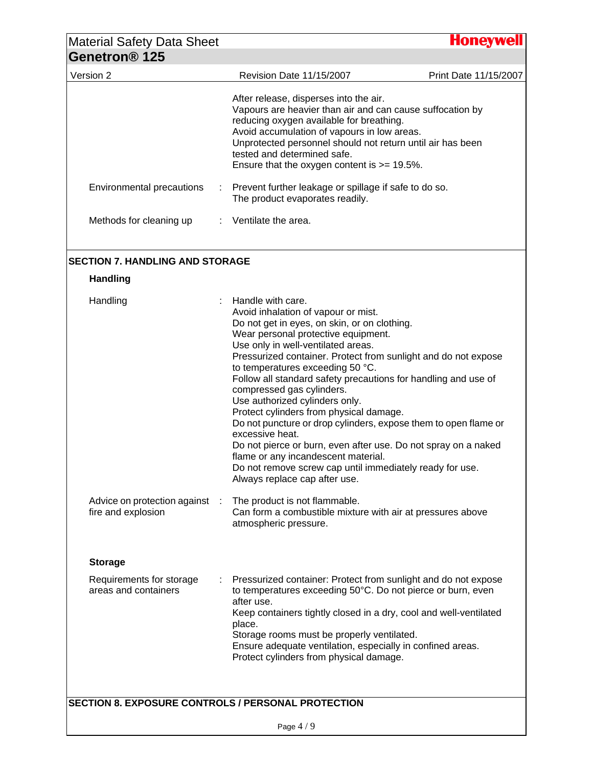| Revision Date 11/15/2007<br>After release, disperses into the air.<br>Vapours are heavier than air and can cause suffocation by<br>reducing oxygen available for breathing.<br>Avoid accumulation of vapours in low areas.<br>Unprotected personnel should not return until air has been<br>tested and determined safe.<br>Ensure that the oxygen content is $>= 19.5\%$ .<br>Environmental precautions<br>Prevent further leakage or spillage if safe to do so.<br>The product evaporates readily.<br>Methods for cleaning up<br>$\therefore$ Ventilate the area.<br><b>Handling</b><br>Handle with care.<br>Handling<br>Avoid inhalation of vapour or mist.<br>Do not get in eyes, on skin, or on clothing.<br>Wear personal protective equipment.<br>Use only in well-ventilated areas.<br>Pressurized container. Protect from sunlight and do not expose<br>to temperatures exceeding 50 °C.<br>Follow all standard safety precautions for handling and use of<br>compressed gas cylinders.<br>Use authorized cylinders only.<br>Protect cylinders from physical damage.<br>Do not puncture or drop cylinders, expose them to open flame or<br>excessive heat.<br>Do not pierce or burn, even after use. Do not spray on a naked<br>flame or any incandescent material.<br>Do not remove screw cap until immediately ready for use.<br>Always replace cap after use.<br>Advice on protection against<br>The product is not flammable.<br>-1<br>fire and explosion<br>Can form a combustible mixture with air at pressures above<br>atmospheric pressure.<br><b>Storage</b><br>Requirements for storage<br>Pressurized container: Protect from sunlight and do not expose<br>areas and containers<br>to temperatures exceeding 50°C. Do not pierce or burn, even<br>after use.<br>Keep containers tightly closed in a dry, cool and well-ventilated<br>place.<br>Storage rooms must be properly ventilated.<br>Ensure adequate ventilation, especially in confined areas.<br>Protect cylinders from physical damage. | <b>Material Safety Data Sheet</b><br>Genetron <sup>®</sup> 125 |  | <b>Honeywell</b>      |
|-------------------------------------------------------------------------------------------------------------------------------------------------------------------------------------------------------------------------------------------------------------------------------------------------------------------------------------------------------------------------------------------------------------------------------------------------------------------------------------------------------------------------------------------------------------------------------------------------------------------------------------------------------------------------------------------------------------------------------------------------------------------------------------------------------------------------------------------------------------------------------------------------------------------------------------------------------------------------------------------------------------------------------------------------------------------------------------------------------------------------------------------------------------------------------------------------------------------------------------------------------------------------------------------------------------------------------------------------------------------------------------------------------------------------------------------------------------------------------------------------------------------------------------------------------------------------------------------------------------------------------------------------------------------------------------------------------------------------------------------------------------------------------------------------------------------------------------------------------------------------------------------------------------------------------------------------------------------------------------------------------------------------|----------------------------------------------------------------|--|-----------------------|
|                                                                                                                                                                                                                                                                                                                                                                                                                                                                                                                                                                                                                                                                                                                                                                                                                                                                                                                                                                                                                                                                                                                                                                                                                                                                                                                                                                                                                                                                                                                                                                                                                                                                                                                                                                                                                                                                                                                                                                                                                         | Version 2                                                      |  | Print Date 11/15/2007 |
| <b>SECTION 7. HANDLING AND STORAGE</b><br><b>SECTION 8. EXPOSURE CONTROLS / PERSONAL PROTECTION</b>                                                                                                                                                                                                                                                                                                                                                                                                                                                                                                                                                                                                                                                                                                                                                                                                                                                                                                                                                                                                                                                                                                                                                                                                                                                                                                                                                                                                                                                                                                                                                                                                                                                                                                                                                                                                                                                                                                                     |                                                                |  |                       |
|                                                                                                                                                                                                                                                                                                                                                                                                                                                                                                                                                                                                                                                                                                                                                                                                                                                                                                                                                                                                                                                                                                                                                                                                                                                                                                                                                                                                                                                                                                                                                                                                                                                                                                                                                                                                                                                                                                                                                                                                                         |                                                                |  |                       |
|                                                                                                                                                                                                                                                                                                                                                                                                                                                                                                                                                                                                                                                                                                                                                                                                                                                                                                                                                                                                                                                                                                                                                                                                                                                                                                                                                                                                                                                                                                                                                                                                                                                                                                                                                                                                                                                                                                                                                                                                                         |                                                                |  |                       |
|                                                                                                                                                                                                                                                                                                                                                                                                                                                                                                                                                                                                                                                                                                                                                                                                                                                                                                                                                                                                                                                                                                                                                                                                                                                                                                                                                                                                                                                                                                                                                                                                                                                                                                                                                                                                                                                                                                                                                                                                                         |                                                                |  |                       |
|                                                                                                                                                                                                                                                                                                                                                                                                                                                                                                                                                                                                                                                                                                                                                                                                                                                                                                                                                                                                                                                                                                                                                                                                                                                                                                                                                                                                                                                                                                                                                                                                                                                                                                                                                                                                                                                                                                                                                                                                                         |                                                                |  |                       |
|                                                                                                                                                                                                                                                                                                                                                                                                                                                                                                                                                                                                                                                                                                                                                                                                                                                                                                                                                                                                                                                                                                                                                                                                                                                                                                                                                                                                                                                                                                                                                                                                                                                                                                                                                                                                                                                                                                                                                                                                                         |                                                                |  |                       |
|                                                                                                                                                                                                                                                                                                                                                                                                                                                                                                                                                                                                                                                                                                                                                                                                                                                                                                                                                                                                                                                                                                                                                                                                                                                                                                                                                                                                                                                                                                                                                                                                                                                                                                                                                                                                                                                                                                                                                                                                                         |                                                                |  |                       |
|                                                                                                                                                                                                                                                                                                                                                                                                                                                                                                                                                                                                                                                                                                                                                                                                                                                                                                                                                                                                                                                                                                                                                                                                                                                                                                                                                                                                                                                                                                                                                                                                                                                                                                                                                                                                                                                                                                                                                                                                                         |                                                                |  |                       |
|                                                                                                                                                                                                                                                                                                                                                                                                                                                                                                                                                                                                                                                                                                                                                                                                                                                                                                                                                                                                                                                                                                                                                                                                                                                                                                                                                                                                                                                                                                                                                                                                                                                                                                                                                                                                                                                                                                                                                                                                                         |                                                                |  |                       |
|                                                                                                                                                                                                                                                                                                                                                                                                                                                                                                                                                                                                                                                                                                                                                                                                                                                                                                                                                                                                                                                                                                                                                                                                                                                                                                                                                                                                                                                                                                                                                                                                                                                                                                                                                                                                                                                                                                                                                                                                                         |                                                                |  |                       |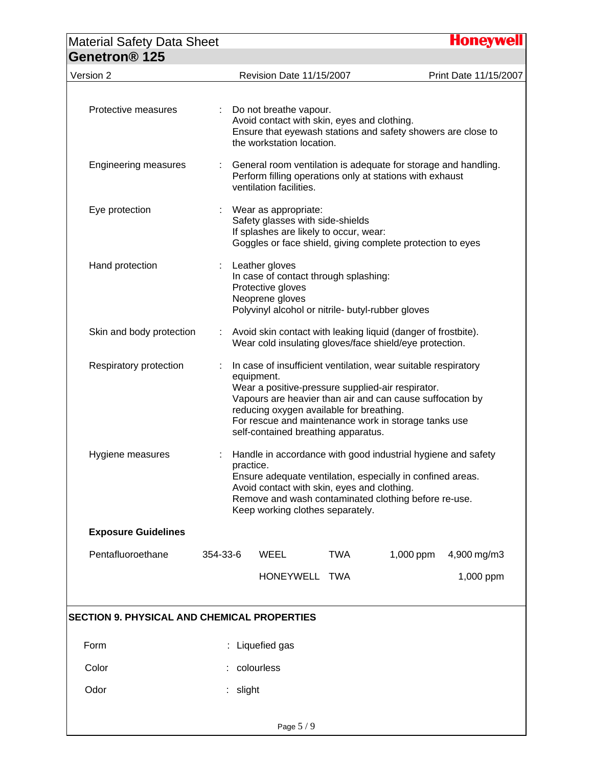| <b>Material Safety Data Sheet</b>                  |          |           |                                                                                                                                                      |     |                                                                                                                                                                                     | <b>Honeywell</b>      |  |  |
|----------------------------------------------------|----------|-----------|------------------------------------------------------------------------------------------------------------------------------------------------------|-----|-------------------------------------------------------------------------------------------------------------------------------------------------------------------------------------|-----------------------|--|--|
| Genetron <sup>®</sup> 125                          |          |           |                                                                                                                                                      |     |                                                                                                                                                                                     |                       |  |  |
| Version 2                                          |          |           | Revision Date 11/15/2007                                                                                                                             |     |                                                                                                                                                                                     | Print Date 11/15/2007 |  |  |
| Protective measures                                |          |           | Do not breathe vapour.<br>Avoid contact with skin, eyes and clothing.<br>the workstation location.                                                   |     | Ensure that eyewash stations and safety showers are close to                                                                                                                        |                       |  |  |
| <b>Engineering measures</b>                        |          |           | ventilation facilities.                                                                                                                              |     | General room ventilation is adequate for storage and handling.<br>Perform filling operations only at stations with exhaust                                                          |                       |  |  |
| Eye protection                                     |          |           | Wear as appropriate:<br>Safety glasses with side-shields<br>If splashes are likely to occur, wear:                                                   |     | Goggles or face shield, giving complete protection to eyes                                                                                                                          |                       |  |  |
| Hand protection                                    |          |           | Leather gloves<br>In case of contact through splashing:<br>Protective gloves<br>Neoprene gloves<br>Polyvinyl alcohol or nitrile- butyl-rubber gloves |     |                                                                                                                                                                                     |                       |  |  |
| Skin and body protection                           |          |           |                                                                                                                                                      |     | Avoid skin contact with leaking liquid (danger of frostbite).<br>Wear cold insulating gloves/face shield/eye protection.                                                            |                       |  |  |
| Respiratory protection                             |          |           | equipment.<br>Wear a positive-pressure supplied-air respirator.<br>reducing oxygen available for breathing.<br>self-contained breathing apparatus.   |     | In case of insufficient ventilation, wear suitable respiratory<br>Vapours are heavier than air and can cause suffocation by<br>For rescue and maintenance work in storage tanks use |                       |  |  |
| Hygiene measures                                   |          | practice. | Avoid contact with skin, eyes and clothing.<br>Keep working clothes separately.                                                                      |     | Handle in accordance with good industrial hygiene and safety<br>Ensure adequate ventilation, especially in confined areas.<br>Remove and wash contaminated clothing before re-use.  |                       |  |  |
| <b>Exposure Guidelines</b>                         |          |           |                                                                                                                                                      |     |                                                                                                                                                                                     |                       |  |  |
| Pentafluoroethane                                  | 354-33-6 |           | WEEL                                                                                                                                                 | TWA | 1,000 ppm                                                                                                                                                                           | 4,900 mg/m3           |  |  |
|                                                    |          |           | HONEYWELL TWA                                                                                                                                        |     |                                                                                                                                                                                     | 1,000 ppm             |  |  |
| <b>SECTION 9. PHYSICAL AND CHEMICAL PROPERTIES</b> |          |           |                                                                                                                                                      |     |                                                                                                                                                                                     |                       |  |  |
| Form                                               |          |           | Liquefied gas                                                                                                                                        |     |                                                                                                                                                                                     |                       |  |  |
| Color                                              |          |           | colourless                                                                                                                                           |     |                                                                                                                                                                                     |                       |  |  |
| Odor                                               |          | slight    |                                                                                                                                                      |     |                                                                                                                                                                                     |                       |  |  |
|                                                    |          |           | Page 5 / 9                                                                                                                                           |     |                                                                                                                                                                                     |                       |  |  |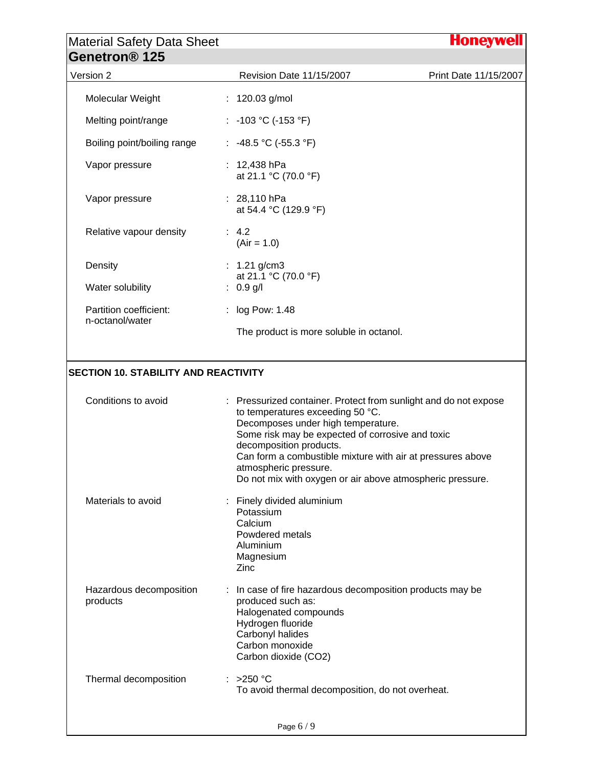| <b>Material Safety Data Sheet</b><br>Genetron <sup>®</sup> 125    |                                                                                                                                                                                                                                              |                       |
|-------------------------------------------------------------------|----------------------------------------------------------------------------------------------------------------------------------------------------------------------------------------------------------------------------------------------|-----------------------|
| Version 2                                                         | Revision Date 11/15/2007                                                                                                                                                                                                                     | Print Date 11/15/2007 |
| Molecular Weight                                                  | : $120.03$ g/mol                                                                                                                                                                                                                             |                       |
| Melting point/range                                               | : -103 °C (-153 °F)                                                                                                                                                                                                                          |                       |
| Boiling point/boiling range                                       | : $-48.5$ °C ( $-55.3$ °F)                                                                                                                                                                                                                   |                       |
| Vapor pressure                                                    | 12,438 hPa<br>at 21.1 °C (70.0 °F)                                                                                                                                                                                                           |                       |
| Vapor pressure                                                    | : $28,110$ hPa<br>at 54.4 °C (129.9 °F)                                                                                                                                                                                                      |                       |
| Relative vapour density                                           | : 4.2<br>$(Air = 1.0)$                                                                                                                                                                                                                       |                       |
| Density                                                           | : $1.21$ g/cm3                                                                                                                                                                                                                               |                       |
| Water solubility                                                  | at 21.1 °C (70.0 °F)<br>: $0.9$ g/l                                                                                                                                                                                                          |                       |
| Partition coefficient:                                            | log Pow: 1.48                                                                                                                                                                                                                                |                       |
| n-octanol/water                                                   |                                                                                                                                                                                                                                              |                       |
| Conditions to avoid                                               | The product is more soluble in octanol.<br>: Pressurized container. Protect from sunlight and do not expose                                                                                                                                  |                       |
|                                                                   | to temperatures exceeding 50 °C.<br>Decomposes under high temperature.<br>Some risk may be expected of corrosive and toxic<br>decomposition products.<br>Can form a combustible mixture with air at pressures above<br>atmospheric pressure. |                       |
| <b>SECTION 10. STABILITY AND REACTIVITY</b><br>Materials to avoid | Do not mix with oxygen or air above atmospheric pressure.<br>Finely divided aluminium<br>Potassium<br>Calcium<br>Powdered metals<br>Aluminium<br>Magnesium<br>Zinc                                                                           |                       |
| Hazardous decomposition<br>products                               | In case of fire hazardous decomposition products may be<br>produced such as:<br>Halogenated compounds<br>Hydrogen fluoride<br>Carbonyl halides<br>Carbon monoxide<br>Carbon dioxide (CO2)                                                    |                       |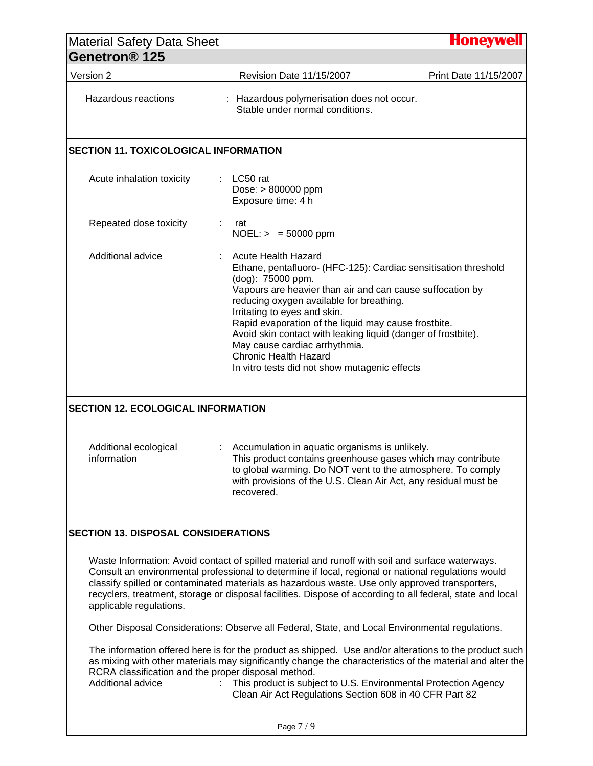| <b>Material Safety Data Sheet</b><br>Genetron <sup>®</sup> 125           |                                                                                                                                                                                                                                                                                                                                                                                                                                                                                                        | Honeywell             |
|--------------------------------------------------------------------------|--------------------------------------------------------------------------------------------------------------------------------------------------------------------------------------------------------------------------------------------------------------------------------------------------------------------------------------------------------------------------------------------------------------------------------------------------------------------------------------------------------|-----------------------|
| Version 2                                                                | Revision Date 11/15/2007                                                                                                                                                                                                                                                                                                                                                                                                                                                                               | Print Date 11/15/2007 |
| Hazardous reactions                                                      | : Hazardous polymerisation does not occur.<br>Stable under normal conditions.                                                                                                                                                                                                                                                                                                                                                                                                                          |                       |
| <b>SECTION 11. TOXICOLOGICAL INFORMATION</b>                             |                                                                                                                                                                                                                                                                                                                                                                                                                                                                                                        |                       |
| Acute inhalation toxicity                                                | LC50 rat<br>$\mathbb{R}^n$<br>Dose: > 800000 ppm<br>Exposure time: 4 h                                                                                                                                                                                                                                                                                                                                                                                                                                 |                       |
| Repeated dose toxicity                                                   | rat<br>$NOEL: > = 50000$ ppm                                                                                                                                                                                                                                                                                                                                                                                                                                                                           |                       |
| Additional advice                                                        | <b>Acute Health Hazard</b><br>Ethane, pentafluoro- (HFC-125): Cardiac sensitisation threshold<br>(dog): 75000 ppm.<br>Vapours are heavier than air and can cause suffocation by<br>reducing oxygen available for breathing.<br>Irritating to eyes and skin.<br>Rapid evaporation of the liquid may cause frostbite.<br>Avoid skin contact with leaking liquid (danger of frostbite).<br>May cause cardiac arrhythmia.<br><b>Chronic Health Hazard</b><br>In vitro tests did not show mutagenic effects |                       |
| <b>SECTION 12. ECOLOGICAL INFORMATION</b>                                |                                                                                                                                                                                                                                                                                                                                                                                                                                                                                                        |                       |
| Additional ecological<br>information                                     | Accumulation in aquatic organisms is unlikely.<br>This product contains greenhouse gases which may contribute<br>to global warming. Do NOT vent to the atmosphere. To comply<br>with provisions of the U.S. Clean Air Act, any residual must be<br>recovered.                                                                                                                                                                                                                                          |                       |
| <b>SECTION 13. DISPOSAL CONSIDERATIONS</b>                               |                                                                                                                                                                                                                                                                                                                                                                                                                                                                                                        |                       |
| applicable regulations.                                                  | Waste Information: Avoid contact of spilled material and runoff with soil and surface waterways.<br>Consult an environmental professional to determine if local, regional or national regulations would<br>classify spilled or contaminated materials as hazardous waste. Use only approved transporters,<br>recyclers, treatment, storage or disposal facilities. Dispose of according to all federal, state and local                                                                                |                       |
|                                                                          | Other Disposal Considerations: Observe all Federal, State, and Local Environmental regulations.                                                                                                                                                                                                                                                                                                                                                                                                        |                       |
| RCRA classification and the proper disposal method.<br>Additional advice | The information offered here is for the product as shipped. Use and/or alterations to the product such<br>as mixing with other materials may significantly change the characteristics of the material and alter the<br>This product is subject to U.S. Environmental Protection Agency<br>÷<br>Clean Air Act Regulations Section 608 in 40 CFR Part 82                                                                                                                                                 |                       |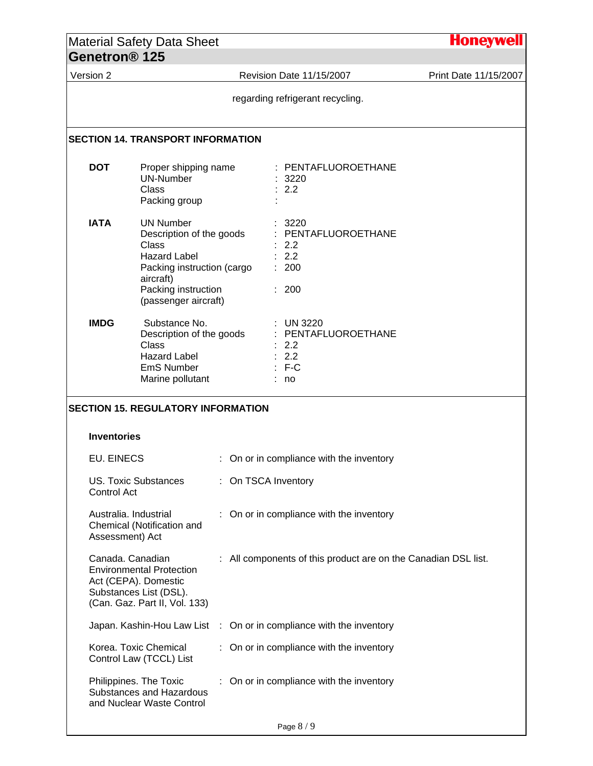|  |                                                                                                                                   | <b>Material Safety Data Sheet</b>                                                                                                                                      |  |                     |                                                                       |                                                                     | <b>Honeywell</b> |
|--|-----------------------------------------------------------------------------------------------------------------------------------|------------------------------------------------------------------------------------------------------------------------------------------------------------------------|--|---------------------|-----------------------------------------------------------------------|---------------------------------------------------------------------|------------------|
|  | Genetron <sup>®</sup> 125                                                                                                         |                                                                                                                                                                        |  |                     |                                                                       |                                                                     |                  |
|  | Version 2                                                                                                                         |                                                                                                                                                                        |  |                     | Revision Date 11/15/2007                                              | Print Date 11/15/2007                                               |                  |
|  |                                                                                                                                   |                                                                                                                                                                        |  |                     |                                                                       | regarding refrigerant recycling.                                    |                  |
|  |                                                                                                                                   | <b>SECTION 14. TRANSPORT INFORMATION</b>                                                                                                                               |  |                     |                                                                       |                                                                     |                  |
|  | <b>DOT</b>                                                                                                                        | Proper shipping name<br><b>UN-Number</b><br>Class<br>Packing group                                                                                                     |  |                     |                                                                       | : PENTAFLUOROETHANE<br>: 3220<br>: 2.2                              |                  |
|  | <b>IATA</b>                                                                                                                       | <b>UN Number</b><br>Description of the goods<br>Class<br><b>Hazard Label</b><br>Packing instruction (cargo<br>aircraft)<br>Packing instruction<br>(passenger aircraft) |  |                     |                                                                       | 3220<br>: PENTAFLUOROETHANE<br>: 2.2<br>: 2.2<br>: 200<br>: 200     |                  |
|  | <b>IMDG</b><br>Substance No.<br>Description of the goods<br>Class<br><b>Hazard Label</b><br><b>EmS Number</b><br>Marine pollutant |                                                                                                                                                                        |  |                     | : UN 3220<br>: PENTAFLUOROETHANE<br>: 2.2<br>: 2.2<br>$: F-C$<br>: no |                                                                     |                  |
|  |                                                                                                                                   | <b>SECTION 15. REGULATORY INFORMATION</b>                                                                                                                              |  |                     |                                                                       |                                                                     |                  |
|  | <b>Inventories</b>                                                                                                                |                                                                                                                                                                        |  |                     |                                                                       |                                                                     |                  |
|  | <b>EU. EINECS</b>                                                                                                                 |                                                                                                                                                                        |  |                     |                                                                       | : On or in compliance with the inventory                            |                  |
|  | Control Act                                                                                                                       | <b>US. Toxic Substances</b>                                                                                                                                            |  | : On TSCA Inventory |                                                                       |                                                                     |                  |
|  | Australia. Industrial<br>Assessment) Act                                                                                          | Chemical (Notification and                                                                                                                                             |  |                     |                                                                       | : On or in compliance with the inventory                            |                  |
|  | Canada. Canadian                                                                                                                  | <b>Environmental Protection</b><br>Act (CEPA). Domestic<br>Substances List (DSL).<br>(Can. Gaz. Part II, Vol. 133)                                                     |  |                     |                                                                       | : All components of this product are on the Canadian DSL list.      |                  |
|  |                                                                                                                                   |                                                                                                                                                                        |  |                     |                                                                       | Japan. Kashin-Hou Law List : On or in compliance with the inventory |                  |
|  |                                                                                                                                   | Korea. Toxic Chemical<br>Control Law (TCCL) List                                                                                                                       |  |                     |                                                                       | : On or in compliance with the inventory                            |                  |
|  |                                                                                                                                   | Philippines. The Toxic<br>Substances and Hazardous<br>and Nuclear Waste Control                                                                                        |  |                     |                                                                       | : On or in compliance with the inventory                            |                  |